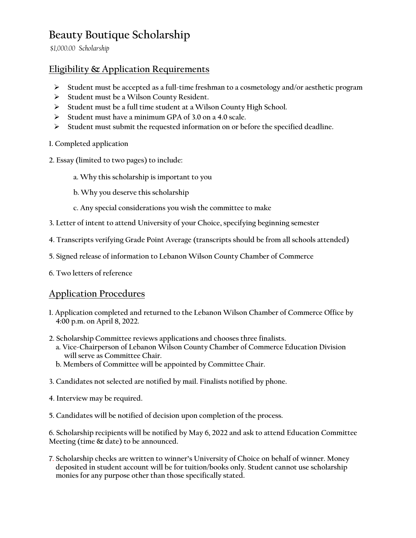# **Beauty Boutique Scholarship**

*\$1,000.00 Scholarship*

#### **Eligibility & Application Requirements**

- **Student must be accepted as a full-time freshman to a cosmetology and/or aesthetic program**
- **Student must be a Wilson County Resident.**
- **Student must be a full time student at a Wilson County High School.**
- **Student must have a minimum GPA of 3.0 on a 4.0 scale.**
- **Student must submit the requested information on or before the specified deadline.**
- **1. Completed application**
- **2. Essay (limited to two pages) to include:**
	- **a. Why this scholarship is important to you**
	- **b. Why you deserve this scholarship**
	- **c. Any special considerations you wish the committee to make**
- **3. Letter of intent to attend University of your Choice, specifying beginning semester**
- **4. Transcripts verifying Grade Point Average (transcripts should be from all schools attended)**
- **5. Signed release of information to Lebanon Wilson County Chamber of Commerce**
- **6. Two letters of reference**

#### **Application Procedures**

- **1. Application completed and returned to the Lebanon Wilson Chamber of Commerce Office by 4:00 p.m. on April 8, 2022.**
- **2. Scholarship Committee reviews applications and chooses three finalists.**
	- **a. Vice-Chairperson of Lebanon Wilson County Chamber of Commerce Education Division will serve as Committee Chair.**
	- **b. Members of Committee will be appointed by Committee Chair.**
- **3. Candidates not selected are notified by mail. Finalists notified by phone.**
- **4. Interview may be required.**
- **5. Candidates will be notified of decision upon completion of the process.**

**6. Scholarship recipients will be notified by May 6, 2022 and ask to attend Education Committee Meeting (time & date) to be announced.**

**7. Scholarship checks are written to winner's University of Choice on behalf of winner. Money deposited in student account will be for tuition/books only. Student cannot use scholarship monies for any purpose other than those specifically stated.**